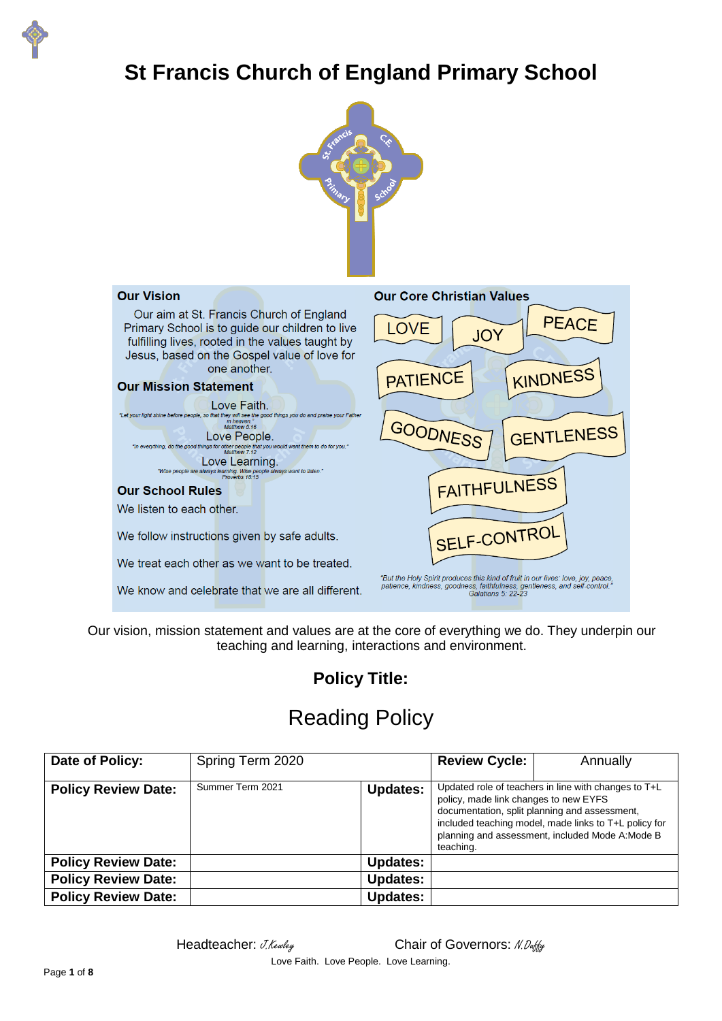

# **St Francis Church of England Primary School**





Our vision, mission statement and values are at the core of everything we do. They underpin our teaching and learning, interactions and environment.

# **Policy Title:**

# Reading Policy

| Date of Policy:            | Spring Term 2020 |                 | <b>Review Cycle:</b>                                                                                                                                                                                                                                                     | Annually |
|----------------------------|------------------|-----------------|--------------------------------------------------------------------------------------------------------------------------------------------------------------------------------------------------------------------------------------------------------------------------|----------|
| <b>Policy Review Date:</b> | Summer Term 2021 | <b>Updates:</b> | Updated role of teachers in line with changes to T+L<br>policy, made link changes to new EYFS<br>documentation, split planning and assessment,<br>included teaching model, made links to T+L policy for<br>planning and assessment, included Mode A: Mode B<br>teaching. |          |
| <b>Policy Review Date:</b> |                  | <b>Updates:</b> |                                                                                                                                                                                                                                                                          |          |
| <b>Policy Review Date:</b> |                  | <b>Updates:</b> |                                                                                                                                                                                                                                                                          |          |
| <b>Policy Review Date:</b> |                  | <b>Updates:</b> |                                                                                                                                                                                                                                                                          |          |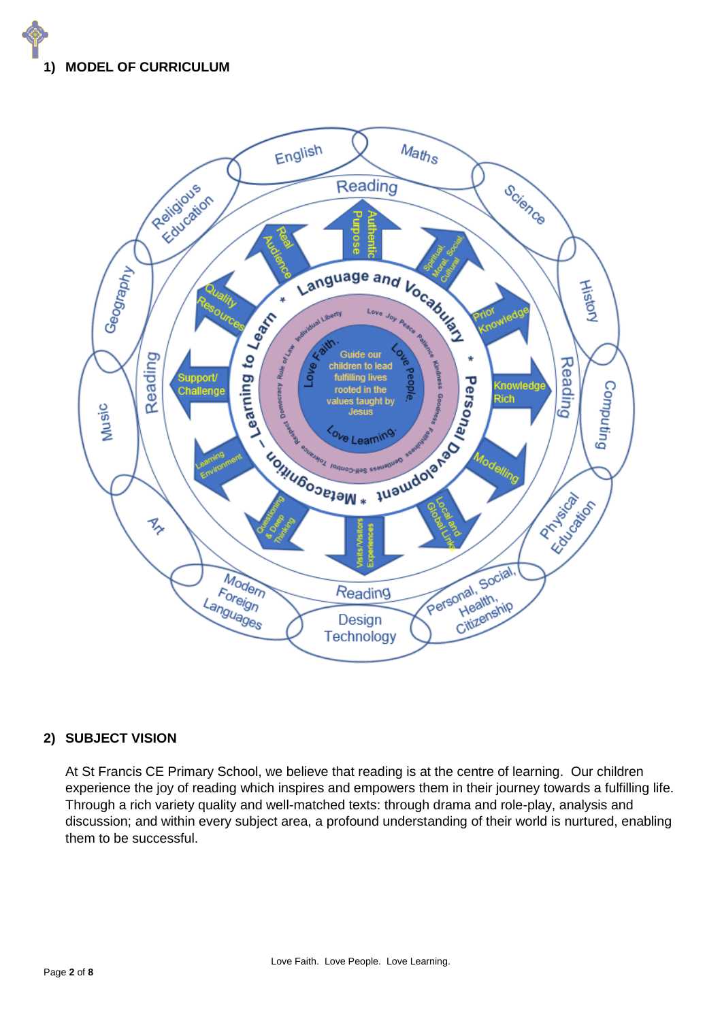



#### **2) SUBJECT VISION**

At St Francis CE Primary School, we believe that reading is at the centre of learning. Our children experience the joy of reading which inspires and empowers them in their journey towards a fulfilling life. Through a rich variety quality and well-matched texts: through drama and role-play, analysis and discussion; and within every subject area, a profound understanding of their world is nurtured, enabling them to be successful.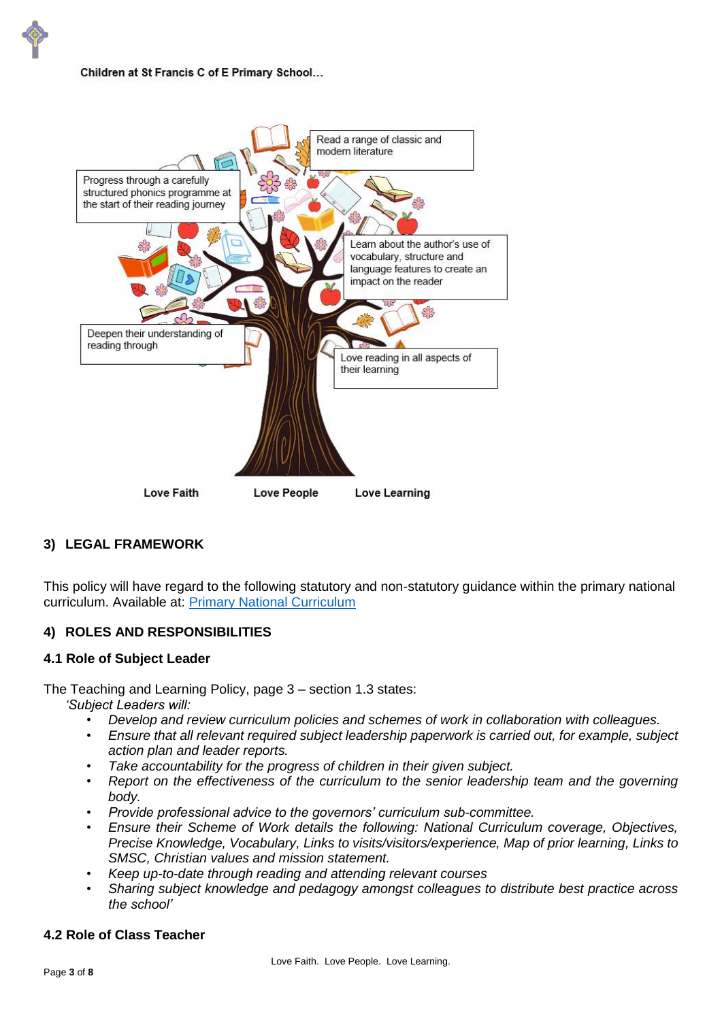Children at St Francis C of E Primary School...



# **3) LEGAL FRAMEWORK**

This policy will have regard to the following statutory and non-statutory guidance within the primary national curriculum. Available at: [Primary National Curriculum](https://www.gov.uk/government/uploads/system/uploads/attachment_data/file/425601/PRIMARY_national_curriculum.pdf)

#### **4) ROLES AND RESPONSIBILITIES**

#### **4.1 Role of Subject Leader**

The Teaching and Learning Policy, page 3 – section 1.3 states:

*'Subject Leaders will:* 

- *Develop and review curriculum policies and schemes of work in collaboration with colleagues.*
- *Ensure that all relevant required subject leadership paperwork is carried out, for example, subject action plan and leader reports.*
- *Take accountability for the progress of children in their given subject.*
- *Report on the effectiveness of the curriculum to the senior leadership team and the governing body.*
- *Provide professional advice to the governors' curriculum sub-committee.*
- *Ensure their Scheme of Work details the following: National Curriculum coverage, Objectives, Precise Knowledge, Vocabulary, Links to visits/visitors/experience, Map of prior learning, Links to SMSC, Christian values and mission statement.*
- *Keep up-to-date through reading and attending relevant courses*
- *Sharing subject knowledge and pedagogy amongst colleagues to distribute best practice across the school'*

#### **4.2 Role of Class Teacher**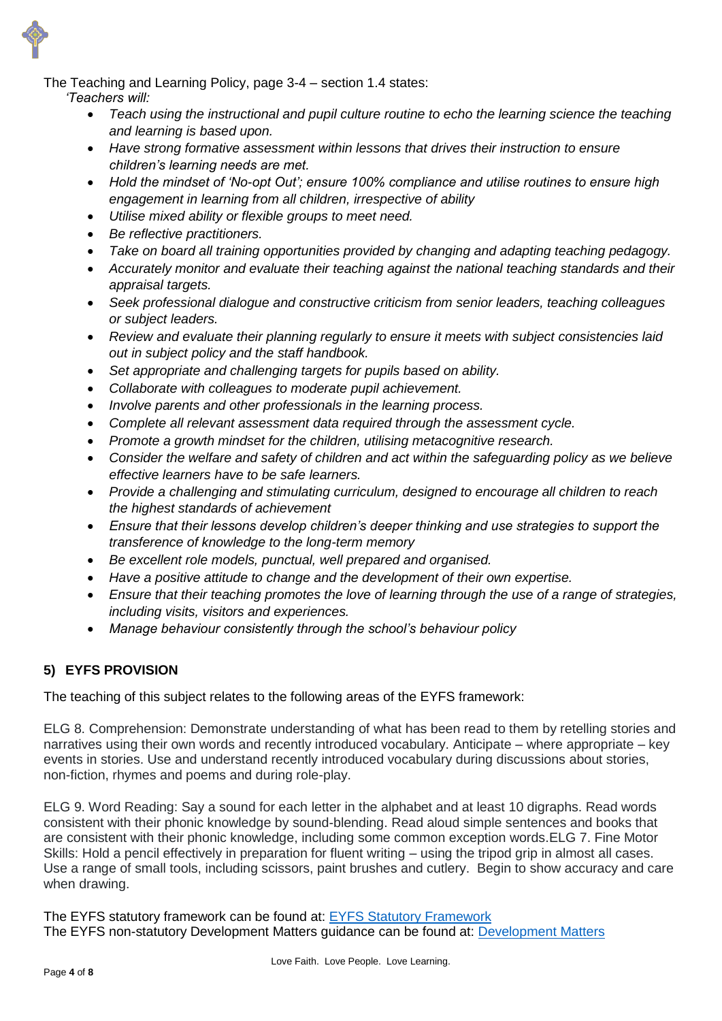The Teaching and Learning Policy, page 3-4 – section 1.4 states:

*'Teachers will:*

- *Teach using the instructional and pupil culture routine to echo the learning science the teaching and learning is based upon.*
- *Have strong formative assessment within lessons that drives their instruction to ensure children's learning needs are met.*
- *Hold the mindset of 'No-opt Out'; ensure 100% compliance and utilise routines to ensure high engagement in learning from all children, irrespective of ability*
- *Utilise mixed ability or flexible groups to meet need.*
- *Be reflective practitioners.*
- *Take on board all training opportunities provided by changing and adapting teaching pedagogy.*
- *Accurately monitor and evaluate their teaching against the national teaching standards and their appraisal targets.*
- *Seek professional dialogue and constructive criticism from senior leaders, teaching colleagues or subject leaders.*
- *Review and evaluate their planning regularly to ensure it meets with subject consistencies laid out in subject policy and the staff handbook.*
- *Set appropriate and challenging targets for pupils based on ability.*
- *Collaborate with colleagues to moderate pupil achievement.*
- *Involve parents and other professionals in the learning process.*
- *Complete all relevant assessment data required through the assessment cycle.*
- *Promote a growth mindset for the children, utilising metacognitive research.*
- *Consider the welfare and safety of children and act within the safeguarding policy as we believe effective learners have to be safe learners.*
- *Provide a challenging and stimulating curriculum, designed to encourage all children to reach the highest standards of achievement*
- *Ensure that their lessons develop children's deeper thinking and use strategies to support the transference of knowledge to the long-term memory*
- *Be excellent role models, punctual, well prepared and organised.*
- *Have a positive attitude to change and the development of their own expertise.*
- *Ensure that their teaching promotes the love of learning through the use of a range of strategies, including visits, visitors and experiences.*
- *Manage behaviour consistently through the school's behaviour policy*

# **5) EYFS PROVISION**

The teaching of this subject relates to the following areas of the EYFS framework:

ELG 8. Comprehension: Demonstrate understanding of what has been read to them by retelling stories and narratives using their own words and recently introduced vocabulary. Anticipate – where appropriate – key events in stories. Use and understand recently introduced vocabulary during discussions about stories, non-fiction, rhymes and poems and during role-play.

ELG 9. Word Reading: Say a sound for each letter in the alphabet and at least 10 digraphs. Read words consistent with their phonic knowledge by sound-blending. Read aloud simple sentences and books that are consistent with their phonic knowledge, including some common exception words.ELG 7. Fine Motor Skills: Hold a pencil effectively in preparation for fluent writing – using the tripod grip in almost all cases. Use a range of small tools, including scissors, paint brushes and cutlery. Begin to show accuracy and care when drawing.

The EYFS statutory framework can be found at: [EYFS Statutory Framework](https://assets.publishing.service.gov.uk/government/uploads/system/uploads/attachment_data/file/974907/EYFS_framework_-_March_2021.pdf) The EYFS non-statutory [Development Matters](https://assets.publishing.service.gov.uk/government/uploads/system/uploads/attachment_data/file/1004234/Development_Matters_Non-statutory_Curriculum_Guidance_Revised_July_2021.pdf) guidance can be found at: **Development Matters**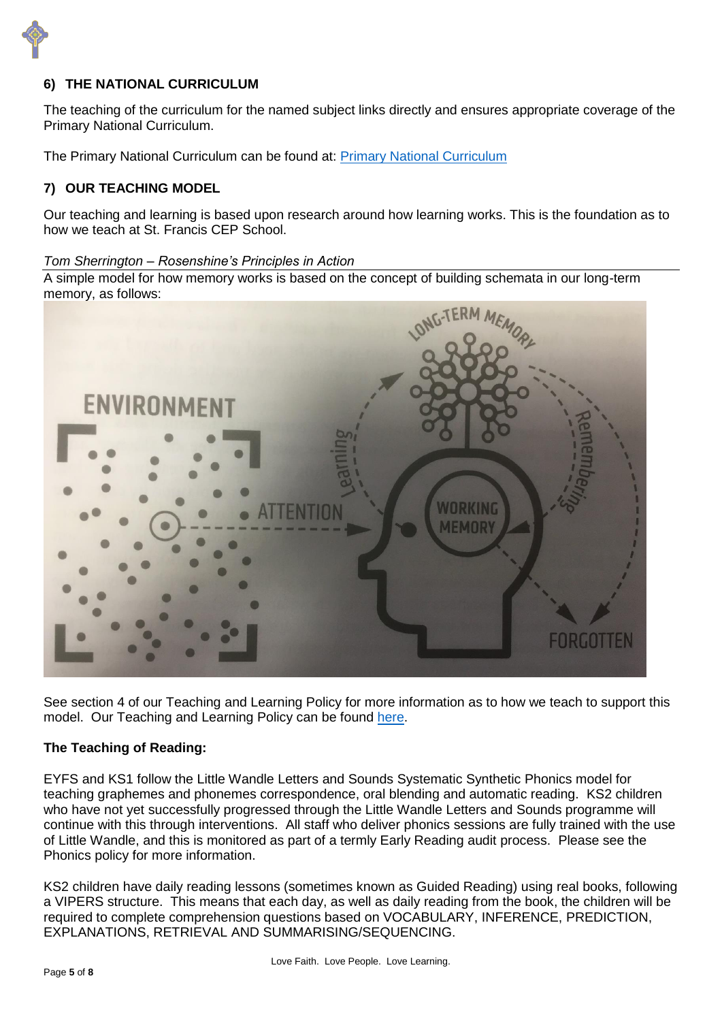

### **6) THE NATIONAL CURRICULUM**

The teaching of the curriculum for the named subject links directly and ensures appropriate coverage of the Primary National Curriculum.

The Primary National Curriculum can be found at: [Primary National Curriculum](https://www.gov.uk/government/uploads/system/uploads/attachment_data/file/425601/PRIMARY_national_curriculum.pdf)

#### **7) OUR TEACHING MODEL**

Our teaching and learning is based upon research around how learning works. This is the foundation as to how we teach at St. Francis CEP School.

*Tom Sherrington – Rosenshine's Principles in Action*

A simple model for how memory works is based on the concept of building schemata in our long-term memory, as follows:



See section 4 of our Teaching and Learning Policy for more information as to how we teach to support this model. Our Teaching and Learning Policy can be found [here.](https://www.theschoolbus.net/compliancemanager/public/teaching-and-learning-policy/72469990-a17e-45db-84f4-7cbea92b1738/22619)

#### **The Teaching of Reading:**

EYFS and KS1 follow the Little Wandle Letters and Sounds Systematic Synthetic Phonics model for teaching graphemes and phonemes correspondence, oral blending and automatic reading. KS2 children who have not yet successfully progressed through the Little Wandle Letters and Sounds programme will continue with this through interventions. All staff who deliver phonics sessions are fully trained with the use of Little Wandle, and this is monitored as part of a termly Early Reading audit process. Please see the Phonics policy for more information.

KS2 children have daily reading lessons (sometimes known as Guided Reading) using real books, following a VIPERS structure. This means that each day, as well as daily reading from the book, the children will be required to complete comprehension questions based on VOCABULARY, INFERENCE, PREDICTION, EXPLANATIONS, RETRIEVAL AND SUMMARISING/SEQUENCING.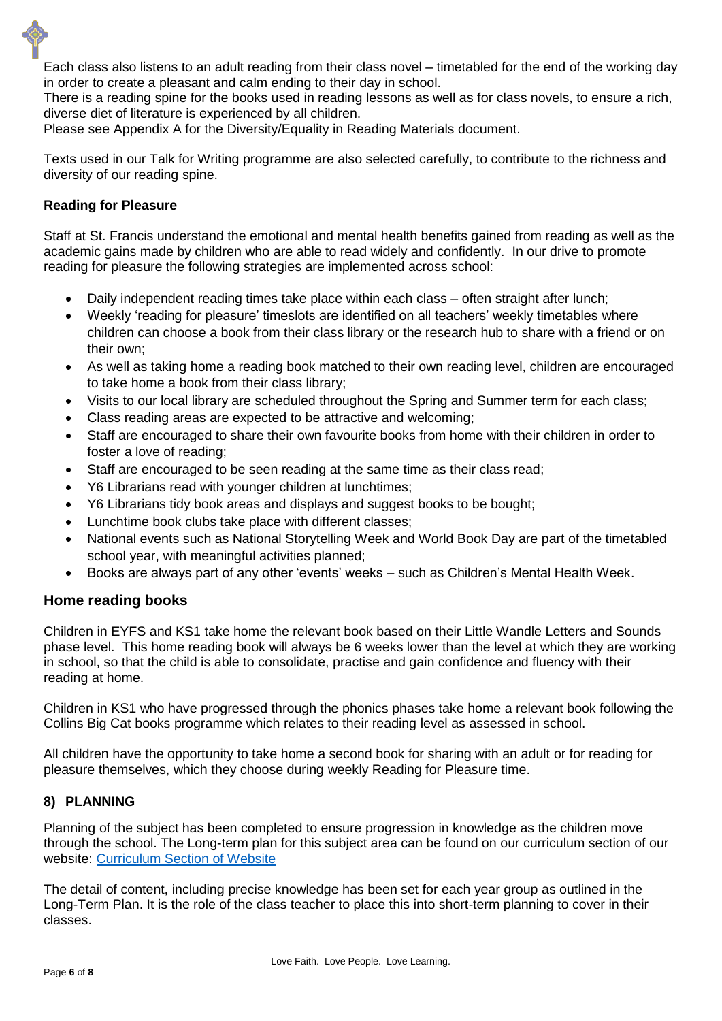Each class also listens to an adult reading from their class novel – timetabled for the end of the working day in order to create a pleasant and calm ending to their day in school.

There is a reading spine for the books used in reading lessons as well as for class novels, to ensure a rich, diverse diet of literature is experienced by all children.

Please see Appendix A for the Diversity/Equality in Reading Materials document.

Texts used in our Talk for Writing programme are also selected carefully, to contribute to the richness and diversity of our reading spine.

#### **Reading for Pleasure**

Staff at St. Francis understand the emotional and mental health benefits gained from reading as well as the academic gains made by children who are able to read widely and confidently. In our drive to promote reading for pleasure the following strategies are implemented across school:

- Daily independent reading times take place within each class often straight after lunch;
- Weekly 'reading for pleasure' timeslots are identified on all teachers' weekly timetables where children can choose a book from their class library or the research hub to share with a friend or on their own;
- As well as taking home a reading book matched to their own reading level, children are encouraged to take home a book from their class library;
- Visits to our local library are scheduled throughout the Spring and Summer term for each class;
- Class reading areas are expected to be attractive and welcoming;
- Staff are encouraged to share their own favourite books from home with their children in order to foster a love of reading;
- Staff are encouraged to be seen reading at the same time as their class read;
- Y6 Librarians read with younger children at lunchtimes;
- Y6 Librarians tidy book areas and displays and suggest books to be bought;
- Lunchtime book clubs take place with different classes;
- National events such as National Storytelling Week and World Book Day are part of the timetabled school year, with meaningful activities planned;
- Books are always part of any other 'events' weeks such as Children's Mental Health Week.

# **Home reading books**

Children in EYFS and KS1 take home the relevant book based on their Little Wandle Letters and Sounds phase level. This home reading book will always be 6 weeks lower than the level at which they are working in school, so that the child is able to consolidate, practise and gain confidence and fluency with their reading at home.

Children in KS1 who have progressed through the phonics phases take home a relevant book following the Collins Big Cat books programme which relates to their reading level as assessed in school.

All children have the opportunity to take home a second book for sharing with an adult or for reading for pleasure themselves, which they choose during weekly Reading for Pleasure time.

#### **8) PLANNING**

Planning of the subject has been completed to ensure progression in knowledge as the children move through the school. The Long-term plan for this subject area can be found on our curriculum section of our website: [Curriculum Section of Website](https://www.stfranciscep.co.uk/page/curriculum/83640)

The detail of content, including precise knowledge has been set for each year group as outlined in the Long-Term Plan. It is the role of the class teacher to place this into short-term planning to cover in their classes.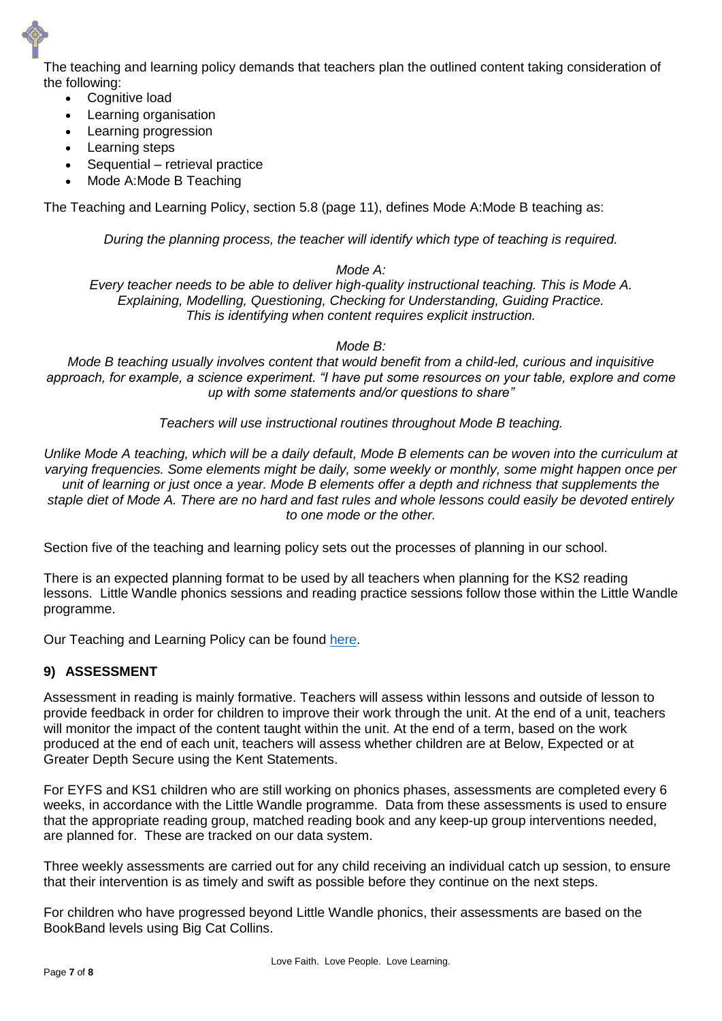The teaching and learning policy demands that teachers plan the outlined content taking consideration of the following:

- Cognitive load
- Learning organisation
- Learning progression
- Learning steps
- Sequential retrieval practice
- Mode A:Mode B Teaching

The Teaching and Learning Policy, section 5.8 (page 11), defines Mode A:Mode B teaching as:

*During the planning process, the teacher will identify which type of teaching is required.*

#### *Mode A:*

*Every teacher needs to be able to deliver high-quality instructional teaching. This is Mode A. Explaining, Modelling, Questioning, Checking for Understanding, Guiding Practice. This is identifying when content requires explicit instruction.*

#### *Mode B:*

*Mode B teaching usually involves content that would benefit from a child-led, curious and inquisitive approach, for example, a science experiment. "I have put some resources on your table, explore and come up with some statements and/or questions to share"*

*Teachers will use instructional routines throughout Mode B teaching.*

*Unlike Mode A teaching, which will be a daily default, Mode B elements can be woven into the curriculum at varying frequencies. Some elements might be daily, some weekly or monthly, some might happen once per unit of learning or just once a year. Mode B elements offer a depth and richness that supplements the staple diet of Mode A. There are no hard and fast rules and whole lessons could easily be devoted entirely to one mode or the other.*

Section five of the teaching and learning policy sets out the processes of planning in our school.

There is an expected planning format to be used by all teachers when planning for the KS2 reading lessons. Little Wandle phonics sessions and reading practice sessions follow those within the Little Wandle programme.

Our Teaching and Learning Policy can be found [here.](https://www.theschoolbus.net/compliancemanager/public/teaching-and-learning-policy/72469990-a17e-45db-84f4-7cbea92b1738/22619)

#### **9) ASSESSMENT**

Assessment in reading is mainly formative. Teachers will assess within lessons and outside of lesson to provide feedback in order for children to improve their work through the unit. At the end of a unit, teachers will monitor the impact of the content taught within the unit. At the end of a term, based on the work produced at the end of each unit, teachers will assess whether children are at Below, Expected or at Greater Depth Secure using the Kent Statements.

For EYFS and KS1 children who are still working on phonics phases, assessments are completed every 6 weeks, in accordance with the Little Wandle programme. Data from these assessments is used to ensure that the appropriate reading group, matched reading book and any keep-up group interventions needed, are planned for. These are tracked on our data system.

Three weekly assessments are carried out for any child receiving an individual catch up session, to ensure that their intervention is as timely and swift as possible before they continue on the next steps.

For children who have progressed beyond Little Wandle phonics, their assessments are based on the BookBand levels using Big Cat Collins.